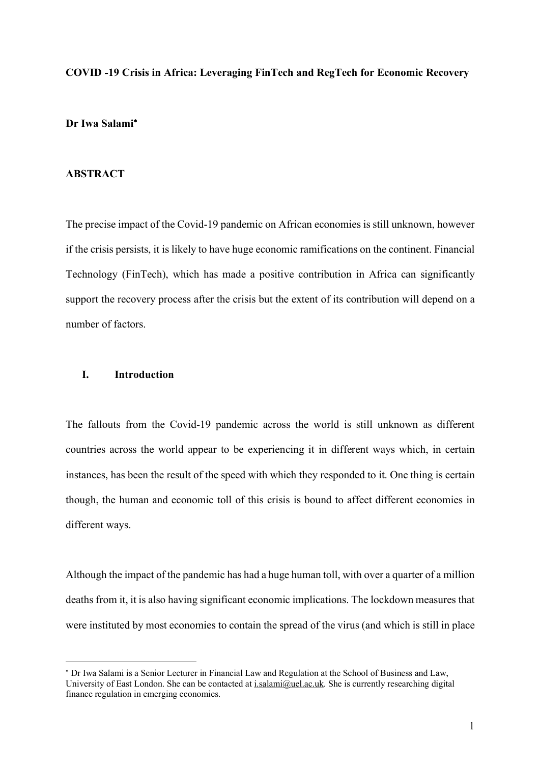### **COVID -19 Crisis in Africa: Leveraging FinTech and RegTech for Economic Recovery**

## **Dr Iwa Salami**\*

## **ABSTRACT**

The precise impact of the Covid-19 pandemic on African economies is still unknown, however if the crisis persists, it is likely to have huge economic ramifications on the continent. Financial Technology (FinTech), which has made a positive contribution in Africa can significantly support the recovery process after the crisis but the extent of its contribution will depend on a number of factors.

# **I. Introduction**

 $\overline{a}$ 

The fallouts from the Covid-19 pandemic across the world is still unknown as different countries across the world appear to be experiencing it in different ways which, in certain instances, has been the result of the speed with which they responded to it. One thing is certain though, the human and economic toll of this crisis is bound to affect different economies in different ways.

Although the impact of the pandemic has had a huge human toll, with over a quarter of a million deaths from it, it is also having significant economic implications. The lockdown measures that were instituted by most economies to contain the spread of the virus (and which is still in place

<sup>\*</sup> Dr Iwa Salami is a Senior Lecturer in Financial Law and Regulation at the School of Business and Law, University of East London. She can be contacted at i.salami@uel.ac.uk. She is currently researching digital finance regulation in emerging economies.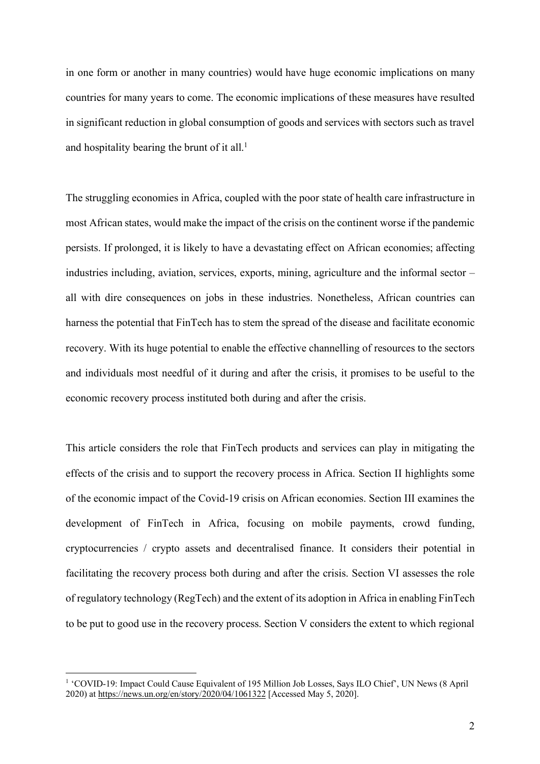in one form or another in many countries) would have huge economic implications on many countries for many years to come. The economic implications of these measures have resulted in significant reduction in global consumption of goods and services with sectors such as travel and hospitality bearing the brunt of it all. 1

The struggling economies in Africa, coupled with the poor state of health care infrastructure in most African states, would make the impact of the crisis on the continent worse if the pandemic persists. If prolonged, it is likely to have a devastating effect on African economies; affecting industries including, aviation, services, exports, mining, agriculture and the informal sector – all with dire consequences on jobs in these industries. Nonetheless, African countries can harness the potential that FinTech has to stem the spread of the disease and facilitate economic recovery. With its huge potential to enable the effective channelling of resources to the sectors and individuals most needful of it during and after the crisis, it promises to be useful to the economic recovery process instituted both during and after the crisis.

This article considers the role that FinTech products and services can play in mitigating the effects of the crisis and to support the recovery process in Africa. Section II highlights some of the economic impact of the Covid-19 crisis on African economies. Section III examines the development of FinTech in Africa, focusing on mobile payments, crowd funding, cryptocurrencies / crypto assets and decentralised finance. It considers their potential in facilitating the recovery process both during and after the crisis. Section VI assesses the role of regulatory technology (RegTech) and the extent of its adoption in Africa in enabling FinTech to be put to good use in the recovery process. Section V considers the extent to which regional

 <sup>1</sup> 'COVID-19: Impact Could Cause Equivalent of 195 Million Job Losses, Says ILO Chief', UN News (8 April 2020) at https://news.un.org/en/story/2020/04/1061322 [Accessed May 5, 2020].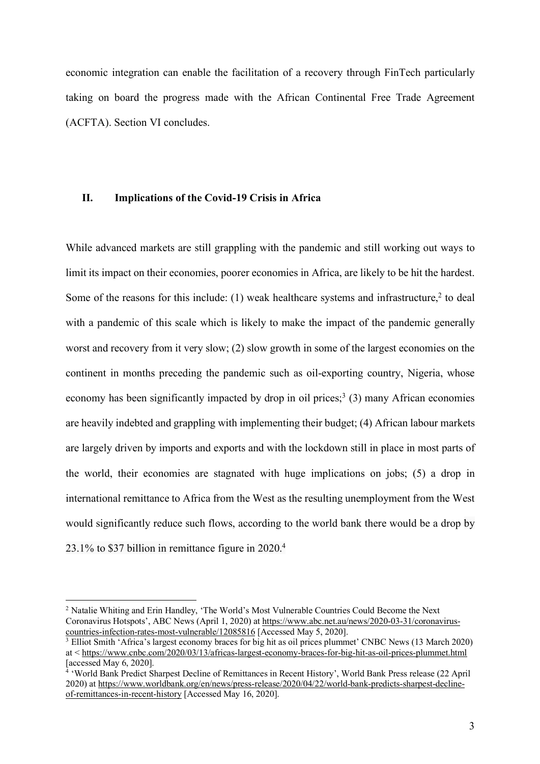economic integration can enable the facilitation of a recovery through FinTech particularly taking on board the progress made with the African Continental Free Trade Agreement (ACFTA). Section VI concludes.

## **II. Implications of the Covid-19 Crisis in Africa**

While advanced markets are still grappling with the pandemic and still working out ways to limit its impact on their economies, poorer economies in Africa, are likely to be hit the hardest. Some of the reasons for this include: (1) weak healthcare systems and infrastructure, $2$  to deal with a pandemic of this scale which is likely to make the impact of the pandemic generally worst and recovery from it very slow; (2) slow growth in some of the largest economies on the continent in months preceding the pandemic such as oil-exporting country, Nigeria, whose economy has been significantly impacted by drop in oil prices;<sup>3</sup> (3) many African economies are heavily indebted and grappling with implementing their budget; (4) African labour markets are largely driven by imports and exports and with the lockdown still in place in most parts of the world, their economies are stagnated with huge implications on jobs; (5) a drop in international remittance to Africa from the West as the resulting unemployment from the West would significantly reduce such flows, according to the world bank there would be a drop by 23.1% to \$37 billion in remittance figure in 2020.4

 <sup>2</sup> Natalie Whiting and Erin Handley, 'The World's Most Vulnerable Countries Could Become the Next Coronavirus Hotspots', ABC News (April 1, 2020) at https://www.abc.net.au/news/2020-03-31/coronaviruscountries-infection-rates-most-vulnerable/12085816 [Accessed May 5, 2020].

<sup>&</sup>lt;sup>3</sup> Elliot Smith 'Africa's largest economy braces for big hit as oil prices plummet' CNBC News (13 March 2020) at < https://www.cnbc.com/2020/03/13/africas-largest-economy-braces-for-big-hit-as-oil-prices-plummet.html [accessed May 6, 2020].

<sup>&</sup>lt;sup>4</sup> 'World Bank Predict Sharpest Decline of Remittances in Recent History', World Bank Press release (22 April) 2020) at https://www.worldbank.org/en/news/press-release/2020/04/22/world-bank-predicts-sharpest-declineof-remittances-in-recent-history [Accessed May 16, 2020].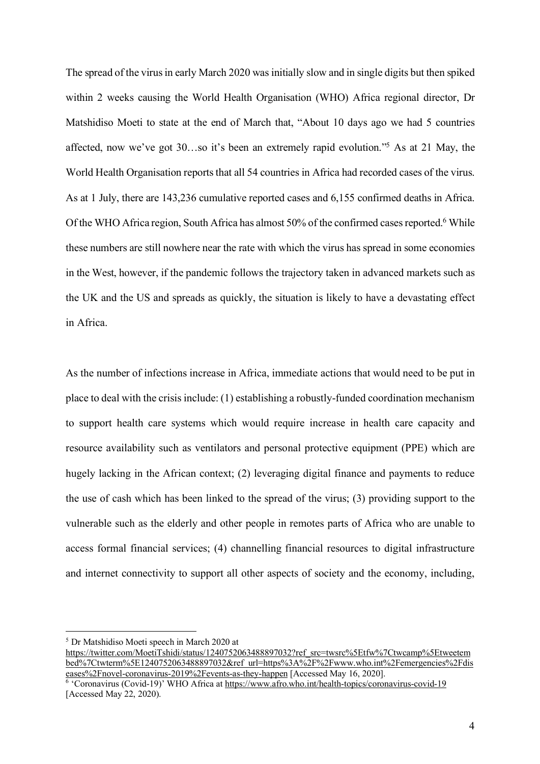The spread of the virus in early March 2020 was initially slow and in single digits but then spiked within 2 weeks causing the World Health Organisation (WHO) Africa regional director, Dr Matshidiso Moeti to state at the end of March that, "About 10 days ago we had 5 countries affected, now we've got 30…so it's been an extremely rapid evolution."5 As at 21 May, the World Health Organisation reports that all 54 countries in Africa had recorded cases of the virus. As at 1 July, there are 143,236 cumulative reported cases and 6,155 confirmed deaths in Africa. Of the WHO Africa region, South Africa has almost 50% of the confirmed cases reported.<sup>6</sup> While these numbers are still nowhere near the rate with which the virus has spread in some economies in the West, however, if the pandemic follows the trajectory taken in advanced markets such as the UK and the US and spreads as quickly, the situation is likely to have a devastating effect in Africa.

As the number of infections increase in Africa, immediate actions that would need to be put in place to deal with the crisis include: (1) establishing a robustly-funded coordination mechanism to support health care systems which would require increase in health care capacity and resource availability such as ventilators and personal protective equipment (PPE) which are hugely lacking in the African context; (2) leveraging digital finance and payments to reduce the use of cash which has been linked to the spread of the virus; (3) providing support to the vulnerable such as the elderly and other people in remotes parts of Africa who are unable to access formal financial services; (4) channelling financial resources to digital infrastructure and internet connectivity to support all other aspects of society and the economy, including,

 <sup>5</sup> Dr Matshidiso Moeti speech in March 2020 at

https://twitter.com/MoetiTshidi/status/1240752063488897032?ref\_src=twsrc%5Etfw%7Ctwcamp%5Etweetem bed%7Ctwterm%5E1240752063488897032&ref\_url=https%3A%2F%2Fwww.who.int%2Femergencies%2Fdis eases%2Fnovel-coronavirus-2019%2Fevents-as-they-happen [Accessed May 16, 2020].

 $\overline{6}$  'Coronavirus (Covid-19)' WHO Africa at https://www.afro.who.int/health-topics/coronavirus-covid-19 [Accessed May 22, 2020).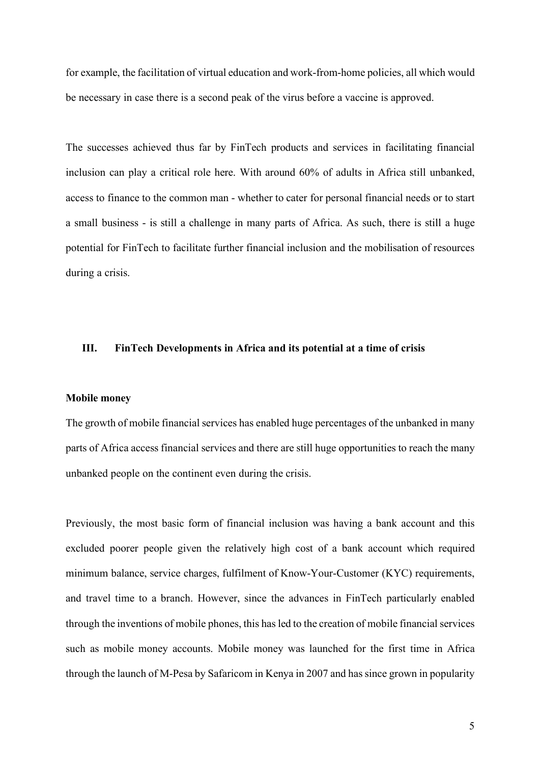for example, the facilitation of virtual education and work-from-home policies, all which would be necessary in case there is a second peak of the virus before a vaccine is approved.

The successes achieved thus far by FinTech products and services in facilitating financial inclusion can play a critical role here. With around 60% of adults in Africa still unbanked, access to finance to the common man - whether to cater for personal financial needs or to start a small business - is still a challenge in many parts of Africa. As such, there is still a huge potential for FinTech to facilitate further financial inclusion and the mobilisation of resources during a crisis.

### **III. FinTech Developments in Africa and its potential at a time of crisis**

#### **Mobile money**

The growth of mobile financial services has enabled huge percentages of the unbanked in many parts of Africa access financial services and there are still huge opportunities to reach the many unbanked people on the continent even during the crisis.

Previously, the most basic form of financial inclusion was having a bank account and this excluded poorer people given the relatively high cost of a bank account which required minimum balance, service charges, fulfilment of Know-Your-Customer (KYC) requirements, and travel time to a branch. However, since the advances in FinTech particularly enabled through the inventions of mobile phones, this has led to the creation of mobile financial services such as mobile money accounts. Mobile money was launched for the first time in Africa through the launch of M-Pesa by Safaricom in Kenya in 2007 and has since grown in popularity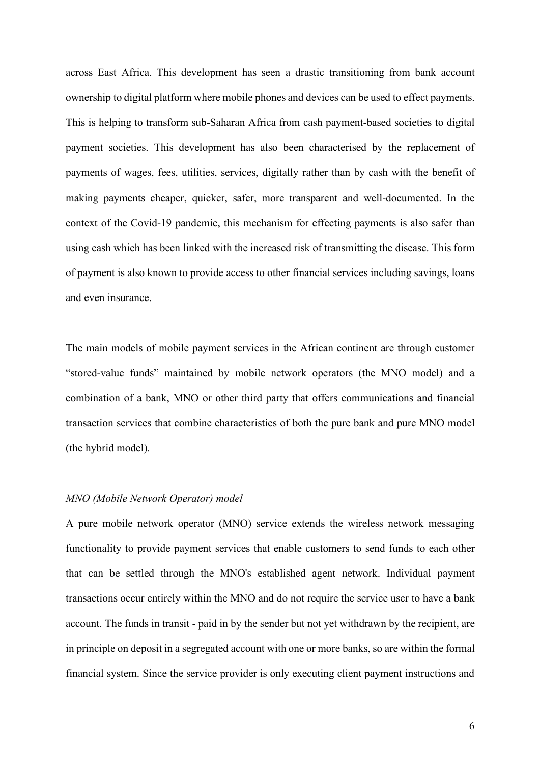across East Africa. This development has seen a drastic transitioning from bank account ownership to digital platform where mobile phones and devices can be used to effect payments. This is helping to transform sub-Saharan Africa from cash payment-based societies to digital payment societies. This development has also been characterised by the replacement of payments of wages, fees, utilities, services, digitally rather than by cash with the benefit of making payments cheaper, quicker, safer, more transparent and well-documented. In the context of the Covid-19 pandemic, this mechanism for effecting payments is also safer than using cash which has been linked with the increased risk of transmitting the disease. This form of payment is also known to provide access to other financial services including savings, loans and even insurance.

The main models of mobile payment services in the African continent are through customer "stored-value funds" maintained by mobile network operators (the MNO model) and a combination of a bank, MNO or other third party that offers communications and financial transaction services that combine characteristics of both the pure bank and pure MNO model (the hybrid model).

### *MNO (Mobile Network Operator) model*

A pure mobile network operator (MNO) service extends the wireless network messaging functionality to provide payment services that enable customers to send funds to each other that can be settled through the MNO's established agent network. Individual payment transactions occur entirely within the MNO and do not require the service user to have a bank account. The funds in transit - paid in by the sender but not yet withdrawn by the recipient, are in principle on deposit in a segregated account with one or more banks, so are within the formal financial system. Since the service provider is only executing client payment instructions and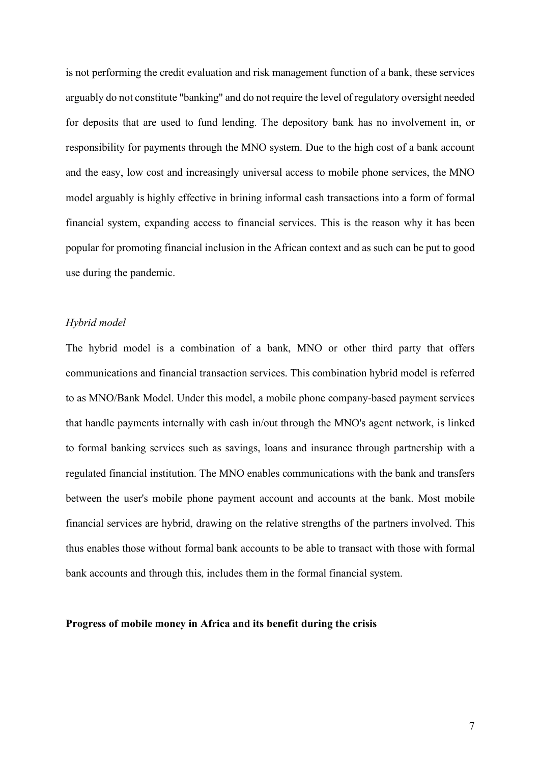is not performing the credit evaluation and risk management function of a bank, these services arguably do not constitute "banking" and do not require the level of regulatory oversight needed for deposits that are used to fund lending. The depository bank has no involvement in, or responsibility for payments through the MNO system. Due to the high cost of a bank account and the easy, low cost and increasingly universal access to mobile phone services, the MNO model arguably is highly effective in brining informal cash transactions into a form of formal financial system, expanding access to financial services. This is the reason why it has been popular for promoting financial inclusion in the African context and as such can be put to good use during the pandemic.

### *Hybrid model*

The hybrid model is a combination of a bank, MNO or other third party that offers communications and financial transaction services. This combination hybrid model is referred to as MNO/Bank Model. Under this model, a mobile phone company-based payment services that handle payments internally with cash in/out through the MNO's agent network, is linked to formal banking services such as savings, loans and insurance through partnership with a regulated financial institution. The MNO enables communications with the bank and transfers between the user's mobile phone payment account and accounts at the bank. Most mobile financial services are hybrid, drawing on the relative strengths of the partners involved. This thus enables those without formal bank accounts to be able to transact with those with formal bank accounts and through this, includes them in the formal financial system.

#### **Progress of mobile money in Africa and its benefit during the crisis**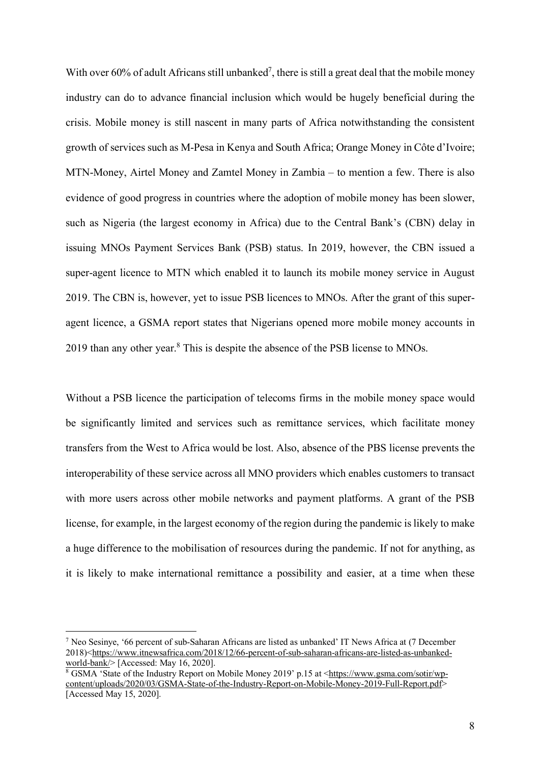With over 60% of adult Africans still unbanked<sup>7</sup>, there is still a great deal that the mobile money industry can do to advance financial inclusion which would be hugely beneficial during the crisis. Mobile money is still nascent in many parts of Africa notwithstanding the consistent growth of services such as M-Pesa in Kenya and South Africa; Orange Money in Côte d'Ivoire; MTN-Money, Airtel Money and Zamtel Money in Zambia – to mention a few. There is also evidence of good progress in countries where the adoption of mobile money has been slower, such as Nigeria (the largest economy in Africa) due to the Central Bank's (CBN) delay in issuing MNOs Payment Services Bank (PSB) status. In 2019, however, the CBN issued a super-agent licence to MTN which enabled it to launch its mobile money service in August 2019. The CBN is, however, yet to issue PSB licences to MNOs. After the grant of this superagent licence, a GSMA report states that Nigerians opened more mobile money accounts in 2019 than any other year.8 This is despite the absence of the PSB license to MNOs.

Without a PSB licence the participation of telecoms firms in the mobile money space would be significantly limited and services such as remittance services, which facilitate money transfers from the West to Africa would be lost. Also, absence of the PBS license prevents the interoperability of these service across all MNO providers which enables customers to transact with more users across other mobile networks and payment platforms. A grant of the PSB license, for example, in the largest economy of the region during the pandemic is likely to make a huge difference to the mobilisation of resources during the pandemic. If not for anything, as it is likely to make international remittance a possibility and easier, at a time when these

 <sup>7</sup> Neo Sesinye, '66 percent of sub-Saharan Africans are listed as unbanked' IT News Africa at (7 December 2018)<https://www.itnewsafrica.com/2018/12/66-percent-of-sub-saharan-africans-are-listed-as-unbankedworld-bank/> [Accessed: May 16, 2020].

<sup>&</sup>lt;sup>8</sup> GSMA 'State of the Industry Report on Mobile Money 2019' p.15 at <https://www.gsma.com/sotir/wpcontent/uploads/2020/03/GSMA-State-of-the-Industry-Report-on-Mobile-Money-2019-Full-Report.pdf> [Accessed May 15, 2020].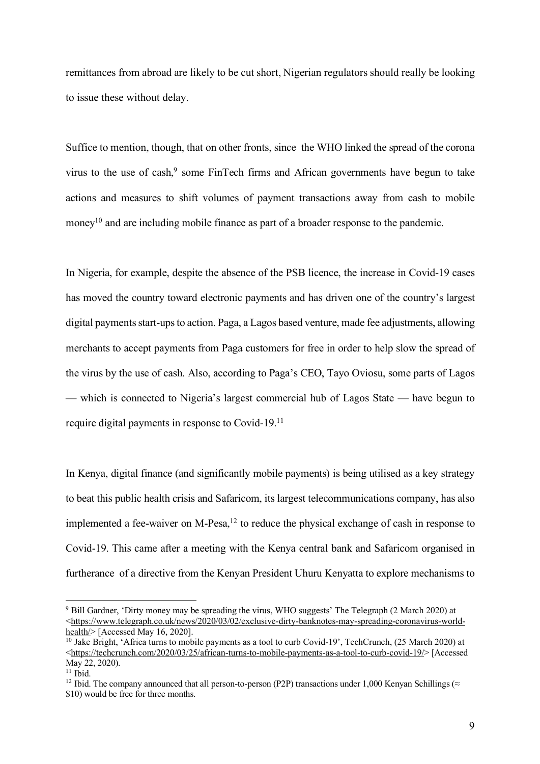remittances from abroad are likely to be cut short, Nigerian regulators should really be looking to issue these without delay.

Suffice to mention, though, that on other fronts, since the WHO linked the spread of the corona virus to the use of cash,<sup>9</sup> some FinTech firms and African governments have begun to take actions and measures to shift volumes of payment transactions away from cash to mobile money<sup>10</sup> and are including mobile finance as part of a broader response to the pandemic.

In Nigeria, for example, despite the absence of the PSB licence, the increase in Covid-19 cases has moved the country toward electronic payments and has driven one of the country's largest digital payments start-ups to action. Paga, a Lagos based venture, made fee adjustments, allowing merchants to accept payments from Paga customers for free in order to help slow the spread of the virus by the use of cash. Also, according to Paga's CEO, Tayo Oviosu, some parts of Lagos — which is connected to Nigeria's largest commercial hub of Lagos State — have begun to require digital payments in response to Covid-19.11

In Kenya, digital finance (and significantly mobile payments) is being utilised as a key strategy to beat this public health crisis and Safaricom, its largest telecommunications company, has also implemented a fee-waiver on M-Pesa, $12$  to reduce the physical exchange of cash in response to Covid-19. This came after a meeting with the Kenya central bank and Safaricom organised in furtherance of a directive from the Kenyan President Uhuru Kenyatta to explore mechanisms to

 <sup>9</sup> Bill Gardner, 'Dirty money may be spreading the virus, WHO suggests' The Telegraph (2 March 2020) at <https://www.telegraph.co.uk/news/2020/03/02/exclusive-dirty-banknotes-may-spreading-coronavirus-worldhealth $>$  [Accessed May 16, 2020].

 $\frac{10}{10}$  Jake Bright, 'Africa turns to mobile payments as a tool to curb Covid-19', TechCrunch, (25 March 2020) at <https://techcrunch.com/2020/03/25/african-turns-to-mobile-payments-as-a-tool-to-curb-covid-19/> [Accessed May 22, 2020).

 $11$  Ibid.

<sup>&</sup>lt;sup>12</sup> Ibid. The company announced that all person-to-person (P2P) transactions under 1,000 Kenyan Schillings ( $\approx$ \$10) would be free for three months.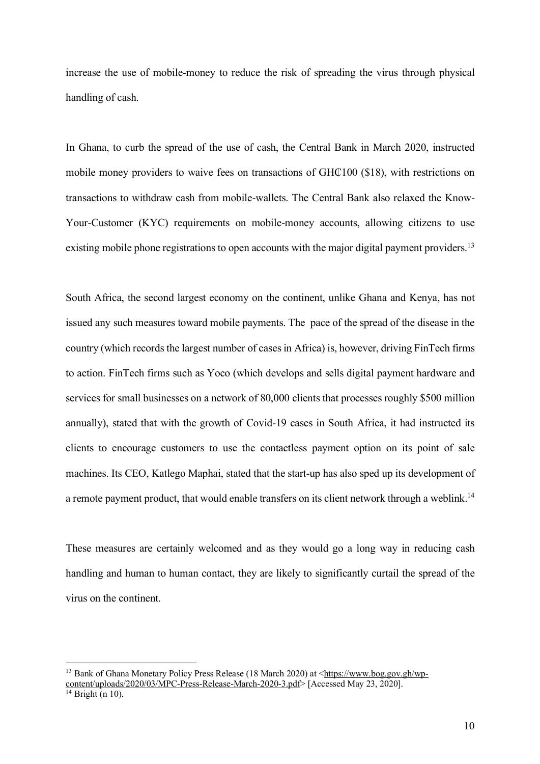increase the use of mobile-money to reduce the risk of spreading the virus through physical handling of cash.

In Ghana, to curb the spread of the use of cash, the Central Bank in March 2020, instructed mobile money providers to waive fees on transactions of GH $\mathcal{C}100$  (\$18), with restrictions on transactions to withdraw cash from mobile-wallets. The Central Bank also relaxed the Know-Your-Customer (KYC) requirements on mobile-money accounts, allowing citizens to use existing mobile phone registrations to open accounts with the major digital payment providers.<sup>13</sup>

South Africa, the second largest economy on the continent, unlike Ghana and Kenya, has not issued any such measures toward mobile payments. The pace of the spread of the disease in the country (which records the largest number of cases in Africa) is, however, driving FinTech firms to action. FinTech firms such as Yoco (which develops and sells digital payment hardware and services for small businesses on a network of 80,000 clients that processes roughly \$500 million annually), stated that with the growth of Covid-19 cases in South Africa, it had instructed its clients to encourage customers to use the contactless payment option on its point of sale machines. Its CEO, Katlego Maphai, stated that the start-up has also sped up its development of a remote payment product, that would enable transfers on its client network through a weblink.<sup>14</sup>

These measures are certainly welcomed and as they would go a long way in reducing cash handling and human to human contact, they are likely to significantly curtail the spread of the virus on the continent.

<sup>&</sup>lt;sup>13</sup> Bank of Ghana Monetary Policy Press Release (18 March 2020) at <https://www.bog.gov.gh/wpcontent/uploads/2020/03/MPC-Press-Release-March-2020-3.pdf> [Accessed May 23, 2020].

 $14$  Bright (n 10).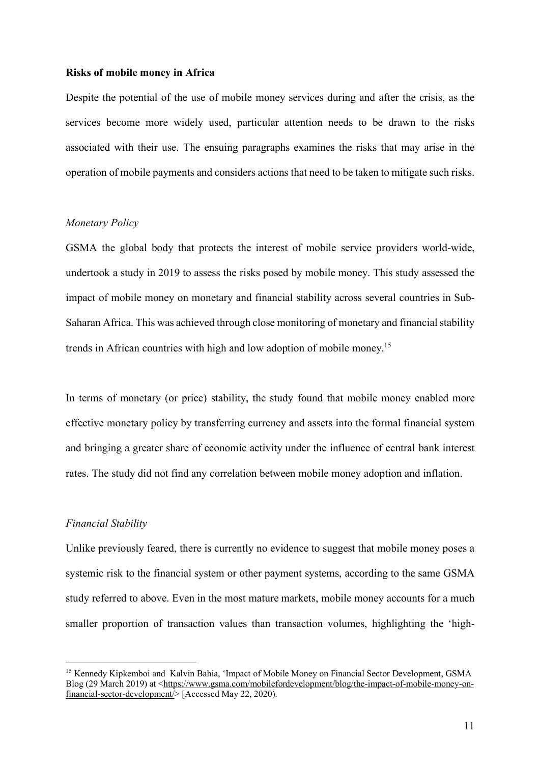### **Risks of mobile money in Africa**

Despite the potential of the use of mobile money services during and after the crisis, as the services become more widely used, particular attention needs to be drawn to the risks associated with their use. The ensuing paragraphs examines the risks that may arise in the operation of mobile payments and considers actions that need to be taken to mitigate such risks.

# *Monetary Policy*

GSMA the global body that protects the interest of mobile service providers world-wide, undertook a study in 2019 to assess the risks posed by mobile money. This study assessed the impact of mobile money on monetary and financial stability across several countries in Sub-Saharan Africa. This was achieved through close monitoring of monetary and financial stability trends in African countries with high and low adoption of mobile money.15

In terms of monetary (or price) stability, the study found that mobile money enabled more effective monetary policy by transferring currency and assets into the formal financial system and bringing a greater share of economic activity under the influence of central bank interest rates. The study did not find any correlation between mobile money adoption and inflation.

## *Financial Stability*

Unlike previously feared, there is currently no evidence to suggest that mobile money poses a systemic risk to the financial system or other payment systems, according to the same GSMA study referred to above. Even in the most mature markets, mobile money accounts for a much smaller proportion of transaction values than transaction volumes, highlighting the 'high-

 <sup>15</sup> Kennedy Kipkemboi and Kalvin Bahia, 'Impact of Mobile Money on Financial Sector Development, GSMA Blog (29 March 2019) at <https://www.gsma.com/mobilefordevelopment/blog/the-impact-of-mobile-money-onfinancial-sector-development/> [Accessed May 22, 2020).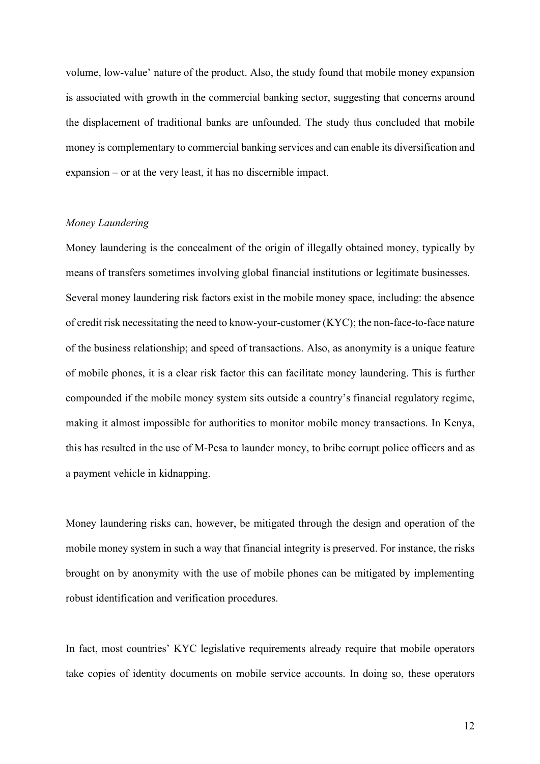volume, low-value' nature of the product. Also, the study found that mobile money expansion is associated with growth in the commercial banking sector, suggesting that concerns around the displacement of traditional banks are unfounded. The study thus concluded that mobile money is complementary to commercial banking services and can enable its diversification and expansion – or at the very least, it has no discernible impact.

## *Money Laundering*

Money laundering is the concealment of the origin of illegally obtained money, typically by means of transfers sometimes involving global financial institutions or legitimate businesses. Several money laundering risk factors exist in the mobile money space, including: the absence of credit risk necessitating the need to know-your-customer (KYC); the non-face-to-face nature of the business relationship; and speed of transactions. Also, as anonymity is a unique feature of mobile phones, it is a clear risk factor this can facilitate money laundering. This is further compounded if the mobile money system sits outside a country's financial regulatory regime, making it almost impossible for authorities to monitor mobile money transactions. In Kenya, this has resulted in the use of M-Pesa to launder money, to bribe corrupt police officers and as a payment vehicle in kidnapping.

Money laundering risks can, however, be mitigated through the design and operation of the mobile money system in such a way that financial integrity is preserved. For instance, the risks brought on by anonymity with the use of mobile phones can be mitigated by implementing robust identification and verification procedures.

In fact, most countries' KYC legislative requirements already require that mobile operators take copies of identity documents on mobile service accounts. In doing so, these operators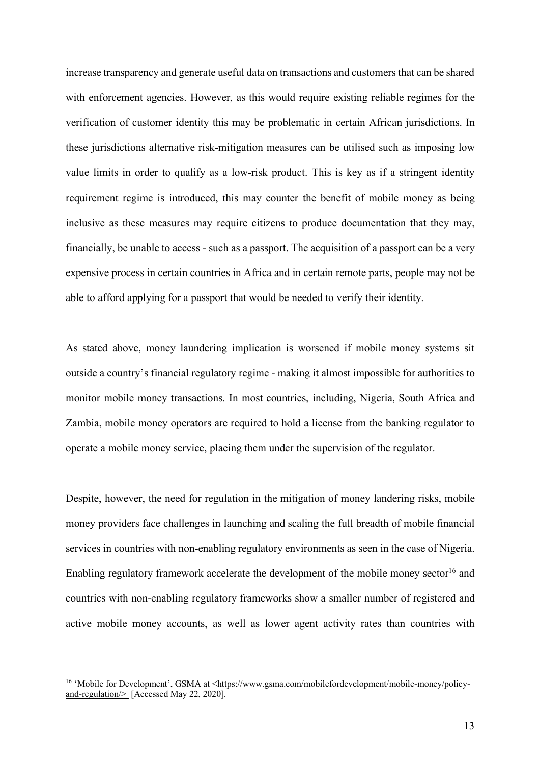increase transparency and generate useful data on transactions and customers that can be shared with enforcement agencies. However, as this would require existing reliable regimes for the verification of customer identity this may be problematic in certain African jurisdictions. In these jurisdictions alternative risk-mitigation measures can be utilised such as imposing low value limits in order to qualify as a low-risk product. This is key as if a stringent identity requirement regime is introduced, this may counter the benefit of mobile money as being inclusive as these measures may require citizens to produce documentation that they may, financially, be unable to access - such as a passport. The acquisition of a passport can be a very expensive process in certain countries in Africa and in certain remote parts, people may not be able to afford applying for a passport that would be needed to verify their identity.

As stated above, money laundering implication is worsened if mobile money systems sit outside a country's financial regulatory regime - making it almost impossible for authorities to monitor mobile money transactions. In most countries, including, Nigeria, South Africa and Zambia, mobile money operators are required to hold a license from the banking regulator to operate a mobile money service, placing them under the supervision of the regulator.

Despite, however, the need for regulation in the mitigation of money landering risks, mobile money providers face challenges in launching and scaling the full breadth of mobile financial services in countries with non-enabling regulatory environments as seen in the case of Nigeria. Enabling regulatory framework accelerate the development of the mobile money sector<sup>16</sup> and countries with non-enabling regulatory frameworks show a smaller number of registered and active mobile money accounts, as well as lower agent activity rates than countries with

<sup>&</sup>lt;sup>16</sup> 'Mobile for Development', GSMA at <https://www.gsma.com/mobilefordevelopment/mobile-money/policyand-regulation/ $\geq$  [Accessed May 22, 2020].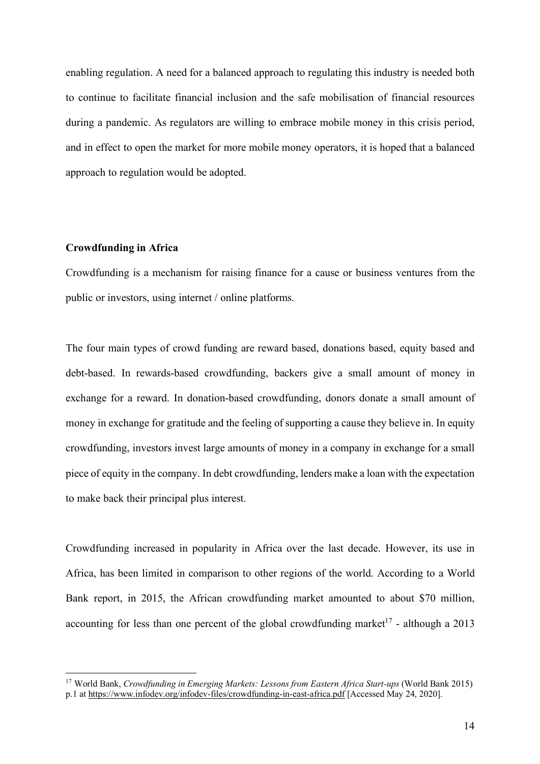enabling regulation. A need for a balanced approach to regulating this industry is needed both to continue to facilitate financial inclusion and the safe mobilisation of financial resources during a pandemic. As regulators are willing to embrace mobile money in this crisis period, and in effect to open the market for more mobile money operators, it is hoped that a balanced approach to regulation would be adopted.

#### **Crowdfunding in Africa**

Crowdfunding is a mechanism for raising finance for a cause or business ventures from the public or investors, using internet / online platforms.

The four main types of crowd funding are reward based, donations based, equity based and debt-based. In rewards-based crowdfunding, backers give a small amount of money in exchange for a reward. In donation-based crowdfunding, donors donate a small amount of money in exchange for gratitude and the feeling of supporting a cause they believe in. In equity crowdfunding, investors invest large amounts of money in a company in exchange for a small piece of equity in the company. In debt crowdfunding, lenders make a loan with the expectation to make back their principal plus interest.

Crowdfunding increased in popularity in Africa over the last decade. However, its use in Africa, has been limited in comparison to other regions of the world. According to a World Bank report, in 2015, the African crowdfunding market amounted to about \$70 million, accounting for less than one percent of the global crowdfunding market<sup>17</sup> - although a 2013

 <sup>17</sup> World Bank, *Crowdfunding in Emerging Markets: Lessons from Eastern Africa Start-ups* (World Bank 2015) p.1 at https://www.infodev.org/infodev-files/crowdfunding-in-east-africa.pdf [Accessed May 24, 2020].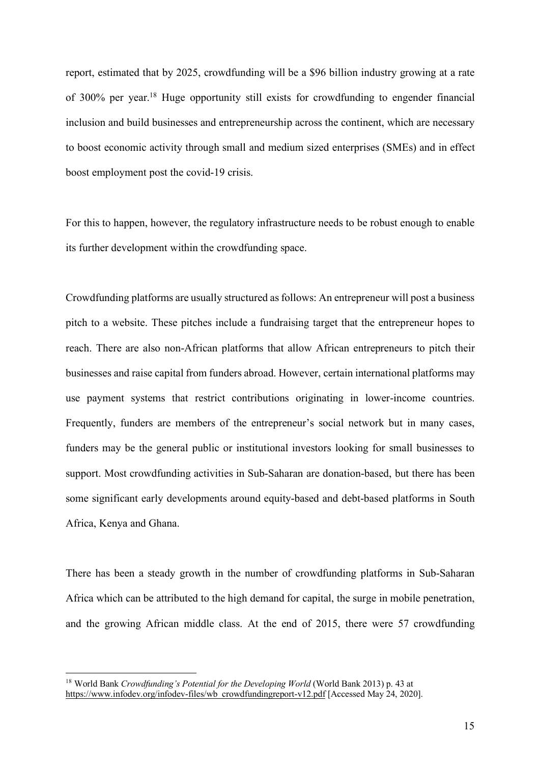report, estimated that by 2025, crowdfunding will be a \$96 billion industry growing at a rate of 300% per year. <sup>18</sup> Huge opportunity still exists for crowdfunding to engender financial inclusion and build businesses and entrepreneurship across the continent, which are necessary to boost economic activity through small and medium sized enterprises (SMEs) and in effect boost employment post the covid-19 crisis.

For this to happen, however, the regulatory infrastructure needs to be robust enough to enable its further development within the crowdfunding space.

Crowdfunding platforms are usually structured as follows: An entrepreneur will post a business pitch to a website. These pitches include a fundraising target that the entrepreneur hopes to reach. There are also non-African platforms that allow African entrepreneurs to pitch their businesses and raise capital from funders abroad. However, certain international platforms may use payment systems that restrict contributions originating in lower-income countries. Frequently, funders are members of the entrepreneur's social network but in many cases, funders may be the general public or institutional investors looking for small businesses to support. Most crowdfunding activities in Sub-Saharan are donation-based, but there has been some significant early developments around equity-based and debt-based platforms in South Africa, Kenya and Ghana.

There has been a steady growth in the number of crowdfunding platforms in Sub-Saharan Africa which can be attributed to the high demand for capital, the surge in mobile penetration, and the growing African middle class. At the end of 2015, there were 57 crowdfunding

<sup>&</sup>lt;sup>18</sup> World Bank *Crowdfunding's Potential for the Developing World* (World Bank 2013) p. 43 at https://www.infodev.org/infodev-files/wb\_crowdfundingreport-v12.pdf [Accessed May 24, 2020].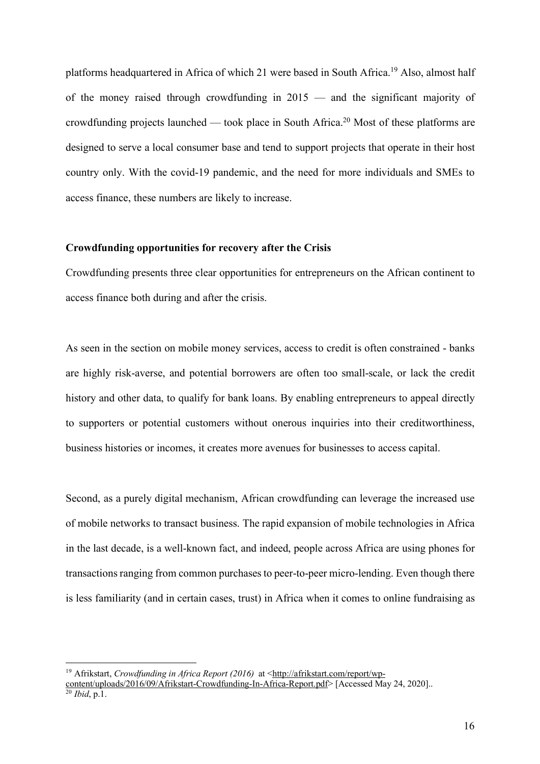platforms headquartered in Africa of which 21 were based in South Africa.19 Also, almost half of the money raised through crowdfunding in 2015 — and the significant majority of crowdfunding projects launched — took place in South Africa.<sup>20</sup> Most of these platforms are designed to serve a local consumer base and tend to support projects that operate in their host country only. With the covid-19 pandemic, and the need for more individuals and SMEs to access finance, these numbers are likely to increase.

### **Crowdfunding opportunities for recovery after the Crisis**

Crowdfunding presents three clear opportunities for entrepreneurs on the African continent to access finance both during and after the crisis.

As seen in the section on mobile money services, access to credit is often constrained - banks are highly risk-averse, and potential borrowers are often too small-scale, or lack the credit history and other data, to qualify for bank loans. By enabling entrepreneurs to appeal directly to supporters or potential customers without onerous inquiries into their creditworthiness, business histories or incomes, it creates more avenues for businesses to access capital.

Second, as a purely digital mechanism, African crowdfunding can leverage the increased use of mobile networks to transact business. The rapid expansion of mobile technologies in Africa in the last decade, is a well-known fact, and indeed, people across Africa are using phones for transactions ranging from common purchases to peer-to-peer micro-lending. Even though there is less familiarity (and in certain cases, trust) in Africa when it comes to online fundraising as

<sup>&</sup>lt;sup>19</sup> Afrikstart, *Crowdfunding in Africa Report* (2016) at <http://afrikstart.com/report/wp-

content/uploads/2016/09/Afrikstart-Crowdfunding-In-Africa-Report.pdf> [Accessed May 24, 2020].. <sup>20</sup> *Ibid*, p.1.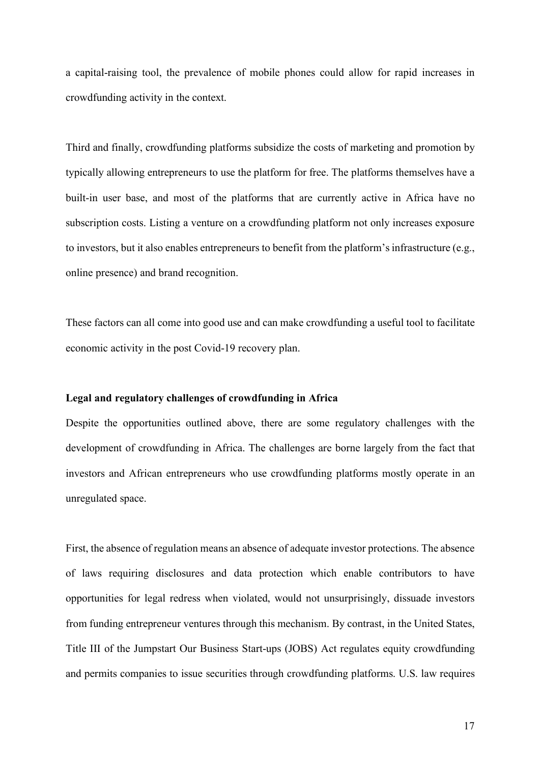a capital-raising tool, the prevalence of mobile phones could allow for rapid increases in crowdfunding activity in the context.

Third and finally, crowdfunding platforms subsidize the costs of marketing and promotion by typically allowing entrepreneurs to use the platform for free. The platforms themselves have a built-in user base, and most of the platforms that are currently active in Africa have no subscription costs. Listing a venture on a crowdfunding platform not only increases exposure to investors, but it also enables entrepreneurs to benefit from the platform's infrastructure (e.g., online presence) and brand recognition.

These factors can all come into good use and can make crowdfunding a useful tool to facilitate economic activity in the post Covid-19 recovery plan.

### **Legal and regulatory challenges of crowdfunding in Africa**

Despite the opportunities outlined above, there are some regulatory challenges with the development of crowdfunding in Africa. The challenges are borne largely from the fact that investors and African entrepreneurs who use crowdfunding platforms mostly operate in an unregulated space.

First, the absence of regulation means an absence of adequate investor protections. The absence of laws requiring disclosures and data protection which enable contributors to have opportunities for legal redress when violated, would not unsurprisingly, dissuade investors from funding entrepreneur ventures through this mechanism. By contrast, in the United States, Title III of the Jumpstart Our Business Start-ups (JOBS) Act regulates equity crowdfunding and permits companies to issue securities through crowdfunding platforms. U.S. law requires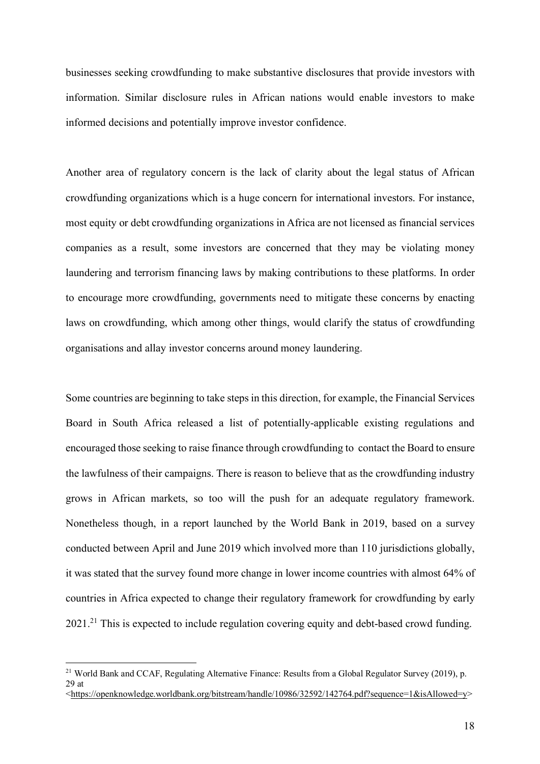businesses seeking crowdfunding to make substantive disclosures that provide investors with information. Similar disclosure rules in African nations would enable investors to make informed decisions and potentially improve investor confidence.

Another area of regulatory concern is the lack of clarity about the legal status of African crowdfunding organizations which is a huge concern for international investors. For instance, most equity or debt crowdfunding organizations in Africa are not licensed as financial services companies as a result, some investors are concerned that they may be violating money laundering and terrorism financing laws by making contributions to these platforms. In order to encourage more crowdfunding, governments need to mitigate these concerns by enacting laws on crowdfunding, which among other things, would clarify the status of crowdfunding organisations and allay investor concerns around money laundering.

Some countries are beginning to take steps in this direction, for example, the Financial Services Board in South Africa released a list of potentially-applicable existing regulations and encouraged those seeking to raise finance through crowdfunding to contact the Board to ensure the lawfulness of their campaigns. There is reason to believe that as the crowdfunding industry grows in African markets, so too will the push for an adequate regulatory framework. Nonetheless though, in a report launched by the World Bank in 2019, based on a survey conducted between April and June 2019 which involved more than 110 jurisdictions globally, it was stated that the survey found more change in lower income countries with almost 64% of countries in Africa expected to change their regulatory framework for crowdfunding by early 2021.21 This is expected to include regulation covering equity and debt-based crowd funding.

<sup>&</sup>lt;sup>21</sup> World Bank and CCAF, Regulating Alternative Finance: Results from a Global Regulator Survey (2019), p. 29 at

<sup>&</sup>lt;https://openknowledge.worldbank.org/bitstream/handle/10986/32592/142764.pdf?sequence=1&isAllowed=y>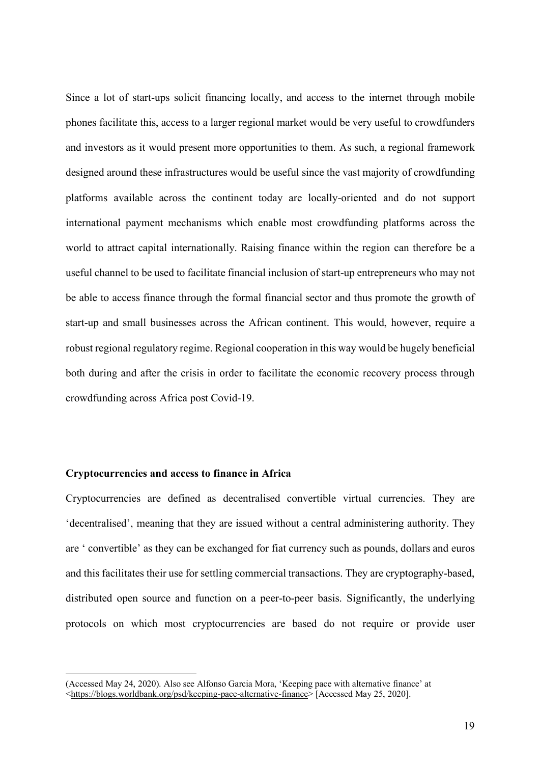Since a lot of start-ups solicit financing locally, and access to the internet through mobile phones facilitate this, access to a larger regional market would be very useful to crowdfunders and investors as it would present more opportunities to them. As such, a regional framework designed around these infrastructures would be useful since the vast majority of crowdfunding platforms available across the continent today are locally-oriented and do not support international payment mechanisms which enable most crowdfunding platforms across the world to attract capital internationally. Raising finance within the region can therefore be a useful channel to be used to facilitate financial inclusion of start-up entrepreneurs who may not be able to access finance through the formal financial sector and thus promote the growth of start-up and small businesses across the African continent. This would, however, require a robust regional regulatory regime. Regional cooperation in this way would be hugely beneficial both during and after the crisis in order to facilitate the economic recovery process through crowdfunding across Africa post Covid-19.

### **Cryptocurrencies and access to finance in Africa**

 $\overline{a}$ 

Cryptocurrencies are defined as decentralised convertible virtual currencies. They are 'decentralised', meaning that they are issued without a central administering authority. They are ' convertible' as they can be exchanged for fiat currency such as pounds, dollars and euros and this facilitates their use for settling commercial transactions. They are cryptography-based, distributed open source and function on a peer-to-peer basis. Significantly, the underlying protocols on which most cryptocurrencies are based do not require or provide user

<sup>(</sup>Accessed May 24, 2020). Also see Alfonso Garcia Mora, 'Keeping pace with alternative finance' at

<sup>&</sup>lt;https://blogs.worldbank.org/psd/keeping-pace-alternative-finance> [Accessed May 25, 2020].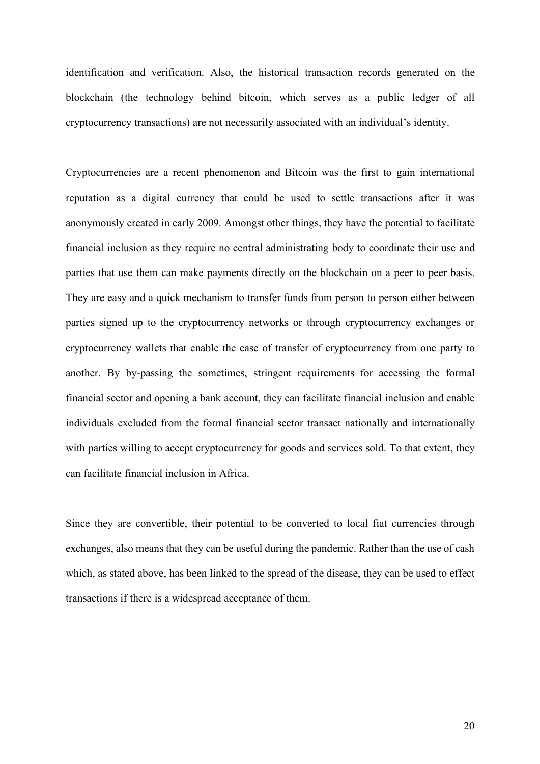identification and verification. Also, the historical transaction records generated on the blockchain (the technology behind bitcoin, which serves as a public ledger of all cryptocurrency transactions) are not necessarily associated with an individual's identity.

Cryptocurrencies are a recent phenomenon and Bitcoin was the first to gain international reputation as a digital currency that could be used to settle transactions after it was anonymously created in early 2009. Amongst other things, they have the potential to facilitate financial inclusion as they require no central administrating body to coordinate their use and parties that use them can make payments directly on the blockchain on a peer to peer basis. They are easy and a quick mechanism to transfer funds from person to person either between parties signed up to the cryptocurrency networks or through cryptocurrency exchanges or cryptocurrency wallets that enable the ease of transfer of cryptocurrency from one party to another. By by-passing the sometimes, stringent requirements for accessing the formal financial sector and opening a bank account, they can facilitate financial inclusion and enable individuals excluded from the formal financial sector transact nationally and internationally with parties willing to accept cryptocurrency for goods and services sold. To that extent, they can facilitate financial inclusion in Africa.

Since they are convertible, their potential to be converted to local fiat currencies through exchanges, also means that they can be useful during the pandemic. Rather than the use of cash which, as stated above, has been linked to the spread of the disease, they can be used to effect transactions if there is a widespread acceptance of them.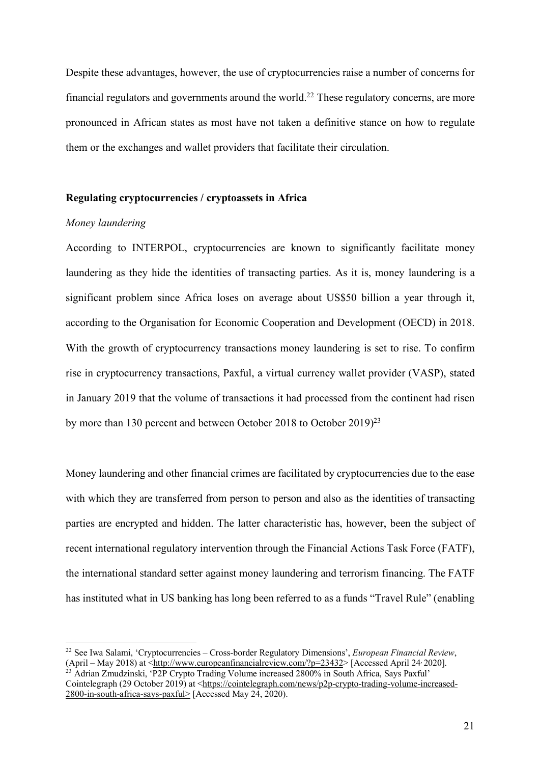Despite these advantages, however, the use of cryptocurrencies raise a number of concerns for financial regulators and governments around the world.<sup>22</sup> These regulatory concerns, are more pronounced in African states as most have not taken a definitive stance on how to regulate them or the exchanges and wallet providers that facilitate their circulation.

#### **Regulating cryptocurrencies / cryptoassets in Africa**

# *Money laundering*

According to INTERPOL, cryptocurrencies are known to significantly facilitate money laundering as they hide the identities of transacting parties. As it is, money laundering is a significant problem since Africa loses on average about US\$50 billion a year through it, according to the Organisation for Economic Cooperation and Development (OECD) in 2018. With the growth of cryptocurrency transactions money laundering is set to rise. To confirm rise in cryptocurrency transactions, Paxful, a virtual currency wallet provider (VASP), stated in January 2019 that the volume of transactions it had processed from the continent had risen by more than 130 percent and between October 2018 to October 2019)<sup>23</sup>

Money laundering and other financial crimes are facilitated by cryptocurrencies due to the ease with which they are transferred from person to person and also as the identities of transacting parties are encrypted and hidden. The latter characteristic has, however, been the subject of recent international regulatory intervention through the Financial Actions Task Force (FATF), the international standard setter against money laundering and terrorism financing. The FATF has instituted what in US banking has long been referred to as a funds "Travel Rule" (enabling

 <sup>22</sup> See Iwa Salami, 'Cryptocurrencies – Cross-border Regulatory Dimensions', *European Financial Review*, (April – May 2018) at <http://www.europeanfinancialreview.com/?p=23432> [Accessed April 24<sup>,</sup> 2020]. <sup>23</sup> Adrian Zmudzinski, 'P2P Crypto Trading Volume increased 2800% in South Africa, Says Paxful' Cointelegraph (29 October 2019) at <https://cointelegraph.com/news/p2p-crypto-trading-volume-increased-

<sup>2800-</sup>in-south-africa-says-paxful> [Accessed May 24, 2020).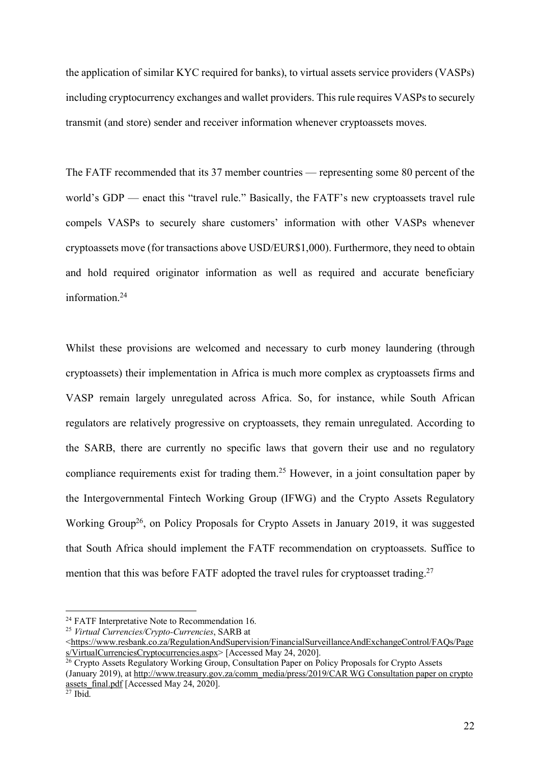the application of similar KYC required for banks), to virtual assets service providers (VASPs) including cryptocurrency exchanges and wallet providers. This rule requires VASPs to securely transmit (and store) sender and receiver information whenever cryptoassets moves.

The FATF recommended that its 37 member countries — representing some 80 percent of the world's GDP — enact this "travel rule." Basically, the FATF's new cryptoassets travel rule compels VASPs to securely share customers' information with other VASPs whenever cryptoassets move (for transactions above USD/EUR\$1,000). Furthermore, they need to obtain and hold required originator information as well as required and accurate beneficiary information.<sup>24</sup>

Whilst these provisions are welcomed and necessary to curb money laundering (through cryptoassets) their implementation in Africa is much more complex as cryptoassets firms and VASP remain largely unregulated across Africa. So, for instance, while South African regulators are relatively progressive on cryptoassets, they remain unregulated. According to the SARB, there are currently no specific laws that govern their use and no regulatory compliance requirements exist for trading them.25 However, in a joint consultation paper by the Intergovernmental Fintech Working Group (IFWG) and the Crypto Assets Regulatory Working Group<sup>26</sup>, on Policy Proposals for Crypto Assets in January 2019, it was suggested that South Africa should implement the FATF recommendation on cryptoassets. Suffice to mention that this was before FATF adopted the travel rules for cryptoasset trading.<sup>27</sup>

<sup>&</sup>lt;sup>24</sup> FATF Interpretative Note to Recommendation 16.

<sup>25</sup> *Virtual Currencies/Crypto-Currencies*, SARB at

<sup>&</sup>lt;https://www.resbank.co.za/RegulationAndSupervision/FinancialSurveillanceAndExchangeControl/FAQs/Page s/VirtualCurrenciesCryptocurrencies.aspx> [Accessed May 24, 2020].

<sup>&</sup>lt;sup>26</sup> Crypto Assets Regulatory Working Group, Consultation Paper on Policy Proposals for Crypto Assets (January 2019), at http://www.treasury.gov.za/comm\_media/press/2019/CAR WG Consultation paper on crypto assets\_final.pdf [Accessed May 24, 2020].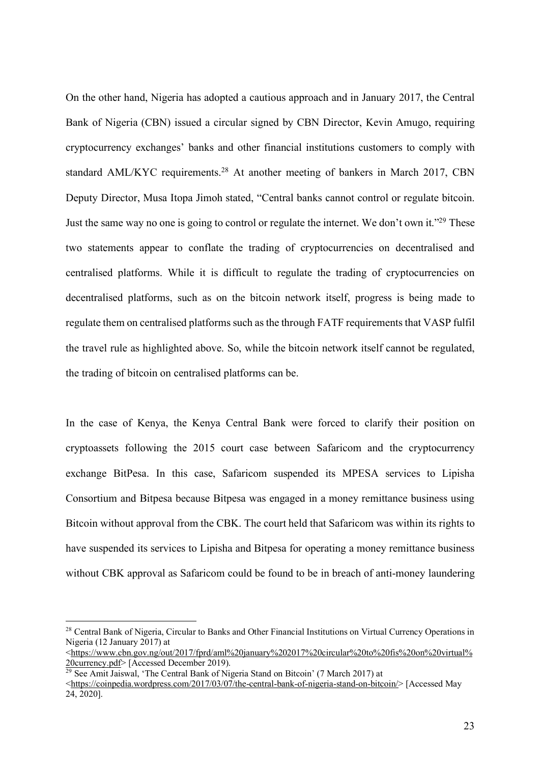On the other hand, Nigeria has adopted a cautious approach and in January 2017, the Central Bank of Nigeria (CBN) issued a circular signed by CBN Director, Kevin Amugo, requiring cryptocurrency exchanges' banks and other financial institutions customers to comply with standard AML/KYC requirements.<sup>28</sup> At another meeting of bankers in March 2017, CBN Deputy Director, Musa Itopa Jimoh stated, "Central banks cannot control or regulate bitcoin. Just the same way no one is going to control or regulate the internet. We don't own it."29 These two statements appear to conflate the trading of cryptocurrencies on decentralised and centralised platforms. While it is difficult to regulate the trading of cryptocurrencies on decentralised platforms, such as on the bitcoin network itself, progress is being made to regulate them on centralised platforms such as the through FATF requirements that VASP fulfil the travel rule as highlighted above. So, while the bitcoin network itself cannot be regulated, the trading of bitcoin on centralised platforms can be.

In the case of Kenya, the Kenya Central Bank were forced to clarify their position on cryptoassets following the 2015 court case between Safaricom and the cryptocurrency exchange BitPesa. In this case, Safaricom suspended its MPESA services to Lipisha Consortium and Bitpesa because Bitpesa was engaged in a money remittance business using Bitcoin without approval from the CBK. The court held that Safaricom was within its rights to have suspended its services to Lipisha and Bitpesa for operating a money remittance business without CBK approval as Safaricom could be found to be in breach of anti-money laundering

<sup>&</sup>lt;sup>28</sup> Central Bank of Nigeria, Circular to Banks and Other Financial Institutions on Virtual Currency Operations in Nigeria (12 January 2017) at

<sup>&</sup>lt;https://www.cbn.gov.ng/out/2017/fprd/aml%20january%202017%20circular%20to%20fis%20on%20virtual% 20currency.pdf> [Accessed December 2019).

<sup>&</sup>lt;sup>29</sup> See Amit Jaiswal, 'The Central Bank of Nigeria Stand on Bitcoin' (7 March 2017) at

<sup>&</sup>lt;https://coinpedia.wordpress.com/2017/03/07/the-central-bank-of-nigeria-stand-on-bitcoin/> [Accessed May 24, 2020].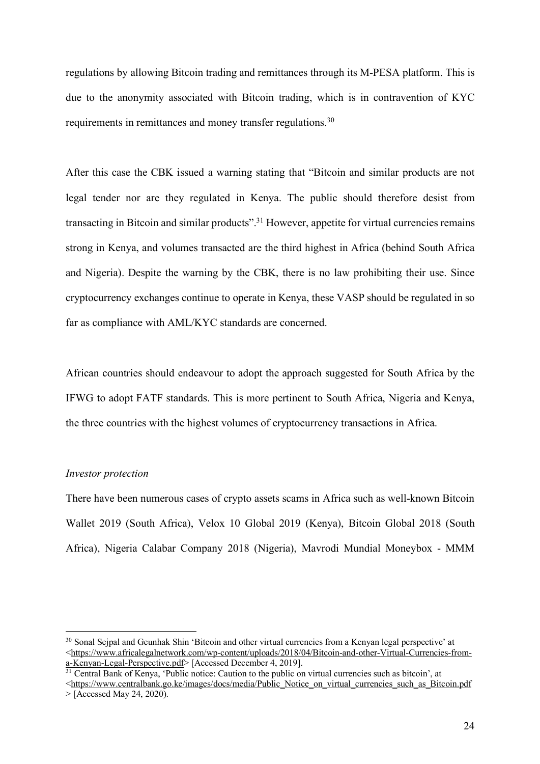regulations by allowing Bitcoin trading and remittances through its M-PESA platform. This is due to the anonymity associated with Bitcoin trading, which is in contravention of KYC requirements in remittances and money transfer regulations.30

After this case the CBK issued a warning stating that "Bitcoin and similar products are not legal tender nor are they regulated in Kenya. The public should therefore desist from transacting in Bitcoin and similar products".<sup>31</sup> However, appetite for virtual currencies remains strong in Kenya, and volumes transacted are the third highest in Africa (behind South Africa and Nigeria). Despite the warning by the CBK, there is no law prohibiting their use. Since cryptocurrency exchanges continue to operate in Kenya, these VASP should be regulated in so far as compliance with AML/KYC standards are concerned.

African countries should endeavour to adopt the approach suggested for South Africa by the IFWG to adopt FATF standards. This is more pertinent to South Africa, Nigeria and Kenya, the three countries with the highest volumes of cryptocurrency transactions in Africa.

### *Investor protection*

There have been numerous cases of crypto assets scams in Africa such as well-known Bitcoin Wallet 2019 (South Africa), Velox 10 Global 2019 (Kenya), Bitcoin Global 2018 (South Africa), Nigeria Calabar Company 2018 (Nigeria), Mavrodi Mundial Moneybox - MMM

<sup>&</sup>lt;sup>30</sup> Sonal Seipal and Geunhak Shin 'Bitcoin and other virtual currencies from a Kenyan legal perspective' at <https://www.africalegalnetwork.com/wp-content/uploads/2018/04/Bitcoin-and-other-Virtual-Currencies-froma-Kenyan-Legal-Perspective.pdf> [Accessed December 4, 2019].

 $31$  Central Bank of Kenya, 'Public notice: Caution to the public on virtual currencies such as bitcoin', at

<sup>&</sup>lt;https://www.centralbank.go.ke/images/docs/media/Public\_Notice\_on\_virtual\_currencies\_such\_as\_Bitcoin.pdf  $>$  [Accessed May 24, 2020).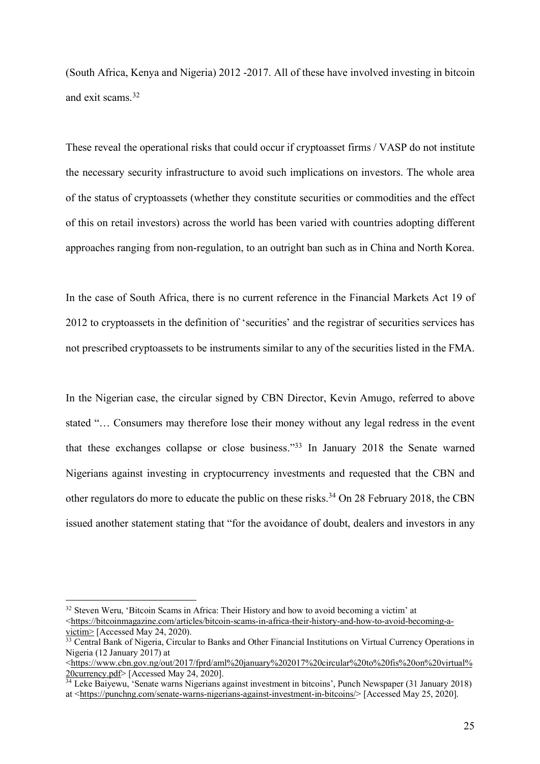(South Africa, Kenya and Nigeria) 2012 -2017. All of these have involved investing in bitcoin and exit scams<sup>32</sup>

These reveal the operational risks that could occur if cryptoasset firms / VASP do not institute the necessary security infrastructure to avoid such implications on investors. The whole area of the status of cryptoassets (whether they constitute securities or commodities and the effect of this on retail investors) across the world has been varied with countries adopting different approaches ranging from non-regulation, to an outright ban such as in China and North Korea.

In the case of South Africa, there is no current reference in the Financial Markets Act 19 of 2012 to cryptoassets in the definition of 'securities' and the registrar of securities services has not prescribed cryptoassets to be instruments similar to any of the securities listed in the FMA.

In the Nigerian case, the circular signed by CBN Director, Kevin Amugo, referred to above stated "… Consumers may therefore lose their money without any legal redress in the event that these exchanges collapse or close business."33 In January 2018 the Senate warned Nigerians against investing in cryptocurrency investments and requested that the CBN and other regulators do more to educate the public on these risks.<sup>34</sup> On 28 February 2018, the CBN issued another statement stating that "for the avoidance of doubt, dealers and investors in any

<sup>&</sup>lt;sup>32</sup> Steven Weru, 'Bitcoin Scams in Africa: Their History and how to avoid becoming a victim' at <https://bitcoinmagazine.com/articles/bitcoin-scams-in-africa-their-history-and-how-to-avoid-becoming-avictim> [Accessed May 24, 2020).

<sup>&</sup>lt;sup>33</sup> Central Bank of Nigeria, Circular to Banks and Other Financial Institutions on Virtual Currency Operations in Nigeria (12 January 2017) at

<sup>&</sup>lt;https://www.cbn.gov.ng/out/2017/fprd/aml%20january%202017%20circular%20to%20fis%20on%20virtual% 20currency.pdf> [Accessed May 24, 2020].<br><sup>34</sup> Leke Baiyewu, 'Senate warns Nigerians against investment in bitcoins', Punch Newspaper (31 January 2018)

at <https://punchng.com/senate-warns-nigerians-against-investment-in-bitcoins/> [Accessed May 25, 2020].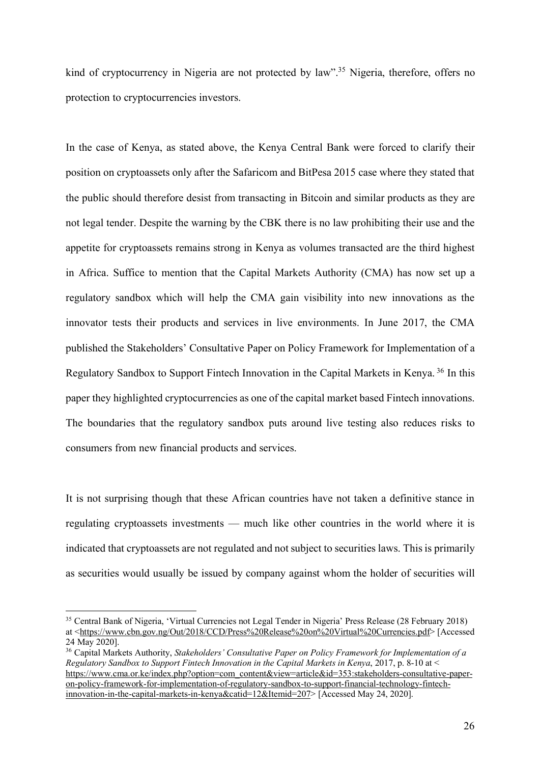kind of cryptocurrency in Nigeria are not protected by law".<sup>35</sup> Nigeria, therefore, offers no protection to cryptocurrencies investors.

In the case of Kenya, as stated above, the Kenya Central Bank were forced to clarify their position on cryptoassets only after the Safaricom and BitPesa 2015 case where they stated that the public should therefore desist from transacting in Bitcoin and similar products as they are not legal tender. Despite the warning by the CBK there is no law prohibiting their use and the appetite for cryptoassets remains strong in Kenya as volumes transacted are the third highest in Africa. Suffice to mention that the Capital Markets Authority (CMA) has now set up a regulatory sandbox which will help the CMA gain visibility into new innovations as the innovator tests their products and services in live environments. In June 2017, the CMA published the Stakeholders' Consultative Paper on Policy Framework for Implementation of a Regulatory Sandbox to Support Fintech Innovation in the Capital Markets in Kenya. <sup>36</sup> In this paper they highlighted cryptocurrencies as one of the capital market based Fintech innovations. The boundaries that the regulatory sandbox puts around live testing also reduces risks to consumers from new financial products and services.

It is not surprising though that these African countries have not taken a definitive stance in regulating cryptoassets investments — much like other countries in the world where it is indicated that cryptoassets are not regulated and not subject to securities laws. This is primarily as securities would usually be issued by company against whom the holder of securities will

 <sup>35</sup> Central Bank of Nigeria, 'Virtual Currencies not Legal Tender in Nigeria' Press Release (28 February 2018) at <https://www.cbn.gov.ng/Out/2018/CCD/Press%20Release%20on%20Virtual%20Currencies.pdf> [Accessed 24 May 2020].

<sup>36</sup> Capital Markets Authority, *Stakeholders' Consultative Paper on Policy Framework for Implementation of a Regulatory Sandbox to Support Fintech Innovation in the Capital Markets in Kenya*, 2017, p. 8-10 at < https://www.cma.or.ke/index.php?option=com\_content&view=article&id=353:stakeholders-consultative-paperon-policy-framework-for-implementation-of-regulatory-sandbox-to-support-financial-technology-fintechinnovation-in-the-capital-markets-in-kenya&catid=12&Itemid=207> [Accessed May 24, 2020].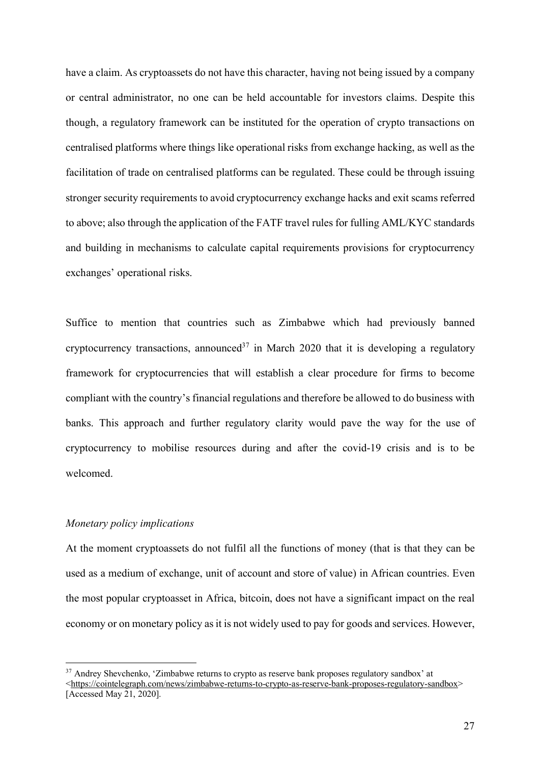have a claim. As cryptoassets do not have this character, having not being issued by a company or central administrator, no one can be held accountable for investors claims. Despite this though, a regulatory framework can be instituted for the operation of crypto transactions on centralised platforms where things like operational risks from exchange hacking, as well as the facilitation of trade on centralised platforms can be regulated. These could be through issuing stronger security requirements to avoid cryptocurrency exchange hacks and exit scams referred to above; also through the application of the FATF travel rules for fulling AML/KYC standards and building in mechanisms to calculate capital requirements provisions for cryptocurrency exchanges' operational risks.

Suffice to mention that countries such as Zimbabwe which had previously banned cryptocurrency transactions, announced<sup>37</sup> in March 2020 that it is developing a regulatory framework for cryptocurrencies that will establish a clear procedure for firms to become compliant with the country's financial regulations and therefore be allowed to do business with banks. This approach and further regulatory clarity would pave the way for the use of cryptocurrency to mobilise resources during and after the covid-19 crisis and is to be welcomed.

## *Monetary policy implications*

At the moment cryptoassets do not fulfil all the functions of money (that is that they can be used as a medium of exchange, unit of account and store of value) in African countries. Even the most popular cryptoasset in Africa, bitcoin, does not have a significant impact on the real economy or on monetary policy as it is not widely used to pay for goods and services. However,

<sup>&</sup>lt;sup>37</sup> Andrey Shevchenko, 'Zimbabwe returns to crypto as reserve bank proposes regulatory sandbox' at <https://cointelegraph.com/news/zimbabwe-returns-to-crypto-as-reserve-bank-proposes-regulatory-sandbox> [Accessed May 21, 2020].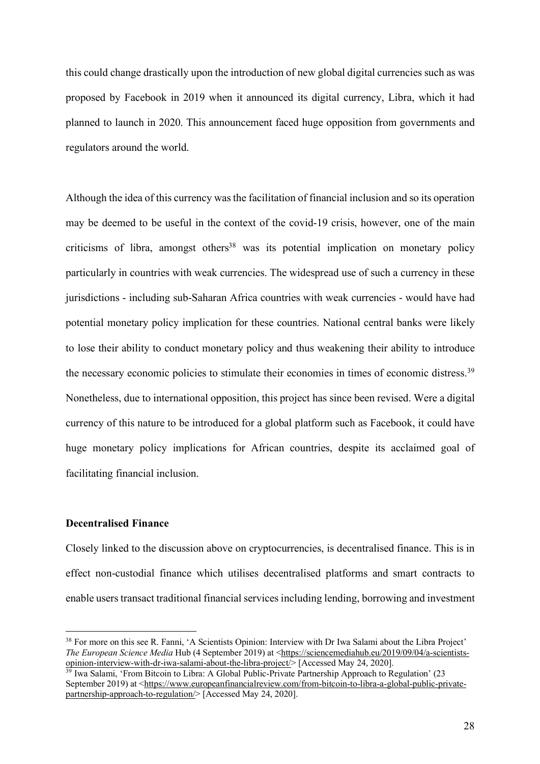this could change drastically upon the introduction of new global digital currencies such as was proposed by Facebook in 2019 when it announced its digital currency, Libra, which it had planned to launch in 2020. This announcement faced huge opposition from governments and regulators around the world.

Although the idea of this currency was the facilitation of financial inclusion and so its operation may be deemed to be useful in the context of the covid-19 crisis, however, one of the main criticisms of libra, amongst others<sup>38</sup> was its potential implication on monetary policy particularly in countries with weak currencies. The widespread use of such a currency in these jurisdictions - including sub-Saharan Africa countries with weak currencies - would have had potential monetary policy implication for these countries. National central banks were likely to lose their ability to conduct monetary policy and thus weakening their ability to introduce the necessary economic policies to stimulate their economies in times of economic distress.<sup>39</sup> Nonetheless, due to international opposition, this project has since been revised. Were a digital currency of this nature to be introduced for a global platform such as Facebook, it could have huge monetary policy implications for African countries, despite its acclaimed goal of facilitating financial inclusion.

# **Decentralised Finance**

Closely linked to the discussion above on cryptocurrencies, is decentralised finance. This is in effect non-custodial finance which utilises decentralised platforms and smart contracts to enable users transact traditional financial services including lending, borrowing and investment

<sup>&</sup>lt;sup>38</sup> For more on this see R. Fanni, 'A Scientists Opinion: Interview with Dr Iwa Salami about the Libra Project' *The European Science Media* Hub (4 September 2019) at <https://sciencemediahub.eu/2019/09/04/a-scientistsopinion-interview-with-dr-iwa-salami-about-the-libra-project/> [Accessed May 24, 2020].

<sup>&</sup>lt;sup>39</sup> Iwa Salami, 'From Bitcoin to Libra: A Global Public-Private Partnership Approach to Regulation' (23 September 2019) at <https://www.europeanfinancialreview.com/from-bitcoin-to-libra-a-global-public-privatepartnership-approach-to-regulation/> [Accessed May 24, 2020].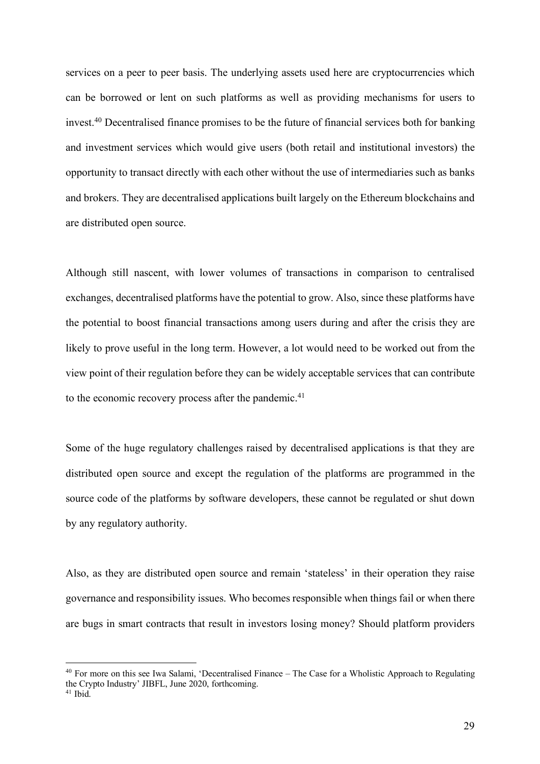services on a peer to peer basis. The underlying assets used here are cryptocurrencies which can be borrowed or lent on such platforms as well as providing mechanisms for users to invest. <sup>40</sup> Decentralised finance promises to be the future of financial services both for banking and investment services which would give users (both retail and institutional investors) the opportunity to transact directly with each other without the use of intermediaries such as banks and brokers. They are decentralised applications built largely on the Ethereum blockchains and are distributed open source.

Although still nascent, with lower volumes of transactions in comparison to centralised exchanges, decentralised platforms have the potential to grow. Also, since these platforms have the potential to boost financial transactions among users during and after the crisis they are likely to prove useful in the long term. However, a lot would need to be worked out from the view point of their regulation before they can be widely acceptable services that can contribute to the economic recovery process after the pandemic.<sup>41</sup>

Some of the huge regulatory challenges raised by decentralised applications is that they are distributed open source and except the regulation of the platforms are programmed in the source code of the platforms by software developers, these cannot be regulated or shut down by any regulatory authority.

Also, as they are distributed open source and remain 'stateless' in their operation they raise governance and responsibility issues. Who becomes responsible when things fail or when there are bugs in smart contracts that result in investors losing money? Should platform providers

 <sup>40</sup> For more on this see Iwa Salami, 'Decentralised Finance – The Case for a Wholistic Approach to Regulating the Crypto Industry' JIBFL, June 2020, forthcoming.

 $41$  Ibid.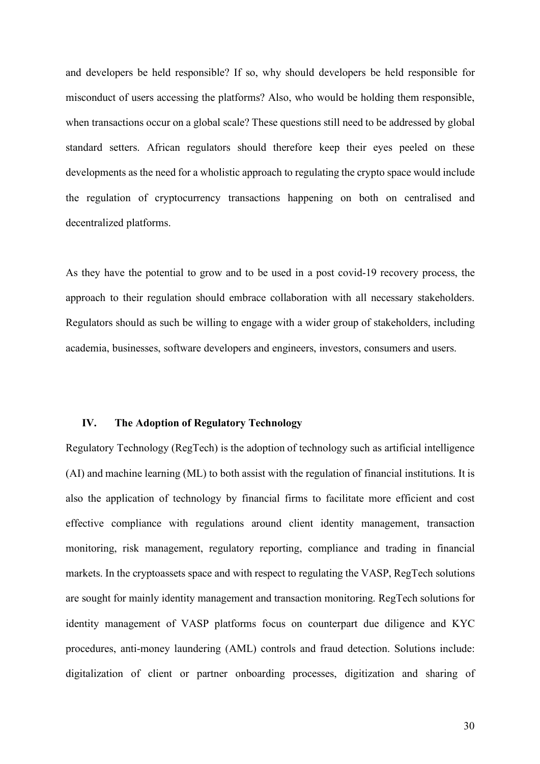and developers be held responsible? If so, why should developers be held responsible for misconduct of users accessing the platforms? Also, who would be holding them responsible, when transactions occur on a global scale? These questions still need to be addressed by global standard setters. African regulators should therefore keep their eyes peeled on these developments as the need for a wholistic approach to regulating the crypto space would include the regulation of cryptocurrency transactions happening on both on centralised and decentralized platforms.

As they have the potential to grow and to be used in a post covid-19 recovery process, the approach to their regulation should embrace collaboration with all necessary stakeholders. Regulators should as such be willing to engage with a wider group of stakeholders, including academia, businesses, software developers and engineers, investors, consumers and users.

#### **IV. The Adoption of Regulatory Technology**

Regulatory Technology (RegTech) is the adoption of technology such as artificial intelligence (AI) and machine learning (ML) to both assist with the regulation of financial institutions. It is also the application of technology by financial firms to facilitate more efficient and cost effective compliance with regulations around client identity management, transaction monitoring, risk management, regulatory reporting, compliance and trading in financial markets. In the cryptoassets space and with respect to regulating the VASP, RegTech solutions are sought for mainly identity management and transaction monitoring. RegTech solutions for identity management of VASP platforms focus on counterpart due diligence and KYC procedures, anti-money laundering (AML) controls and fraud detection. Solutions include: digitalization of client or partner onboarding processes, digitization and sharing of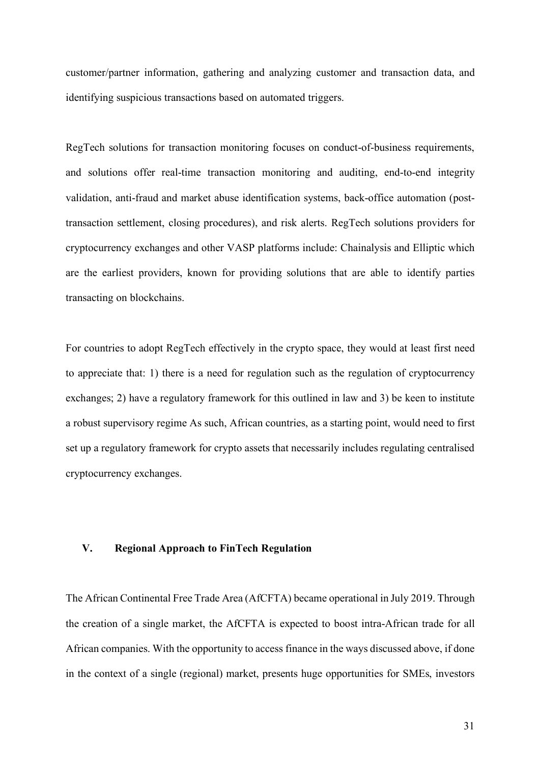customer/partner information, gathering and analyzing customer and transaction data, and identifying suspicious transactions based on automated triggers.

RegTech solutions for transaction monitoring focuses on conduct-of-business requirements, and solutions offer real-time transaction monitoring and auditing, end-to-end integrity validation, anti-fraud and market abuse identification systems, back-office automation (posttransaction settlement, closing procedures), and risk alerts. RegTech solutions providers for cryptocurrency exchanges and other VASP platforms include: Chainalysis and Elliptic which are the earliest providers, known for providing solutions that are able to identify parties transacting on blockchains.

For countries to adopt RegTech effectively in the crypto space, they would at least first need to appreciate that: 1) there is a need for regulation such as the regulation of cryptocurrency exchanges; 2) have a regulatory framework for this outlined in law and 3) be keen to institute a robust supervisory regime As such, African countries, as a starting point, would need to first set up a regulatory framework for crypto assets that necessarily includes regulating centralised cryptocurrency exchanges.

## **V. Regional Approach to FinTech Regulation**

The African Continental Free Trade Area (AfCFTA) became operational in July 2019. Through the creation of a single market, the AfCFTA is expected to boost intra-African trade for all African companies. With the opportunity to access finance in the ways discussed above, if done in the context of a single (regional) market, presents huge opportunities for SMEs, investors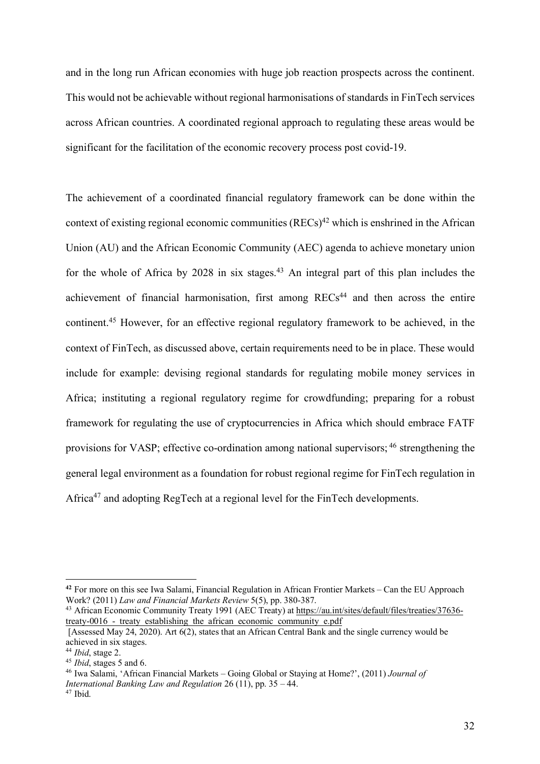and in the long run African economies with huge job reaction prospects across the continent. This would not be achievable without regional harmonisations of standards in FinTech services across African countries. A coordinated regional approach to regulating these areas would be significant for the facilitation of the economic recovery process post covid-19.

The achievement of a coordinated financial regulatory framework can be done within the context of existing regional economic communities  $(RECs)^{42}$  which is enshrined in the African Union (AU) and the African Economic Community (AEC) agenda to achieve monetary union for the whole of Africa by  $2028$  in six stages.<sup>43</sup> An integral part of this plan includes the achievement of financial harmonisation, first among  $RECs<sup>44</sup>$  and then across the entire continent.45 However, for an effective regional regulatory framework to be achieved, in the context of FinTech, as discussed above, certain requirements need to be in place. These would include for example: devising regional standards for regulating mobile money services in Africa; instituting a regional regulatory regime for crowdfunding; preparing for a robust framework for regulating the use of cryptocurrencies in Africa which should embrace FATF provisions for VASP; effective co-ordination among national supervisors; <sup>46</sup> strengthening the general legal environment as a foundation for robust regional regime for FinTech regulation in Africa<sup>47</sup> and adopting RegTech at a regional level for the FinTech developments.

 $\overline{a}$ 

**<sup>42</sup>** For more on this see Iwa Salami, Financial Regulation in African Frontier Markets – Can the EU Approach Work? (2011) *Law and Financial Markets Review* 5(5), pp. 380-387.

<sup>&</sup>lt;sup>43</sup> African Economic Community Treaty 1991 (AEC Treaty) at https://au.int/sites/default/files/treaties/37636treaty-0016 - treaty establishing the african economic community e.pdf

<sup>[</sup>Assessed May 24, 2020). Art 6(2), states that an African Central Bank and the single currency would be achieved in six stages.

<sup>44</sup> *Ibid*, stage 2.

<sup>45</sup> *Ibid*, stages 5 and 6.

<sup>46</sup> Iwa Salami, 'African Financial Markets – Going Global or Staying at Home?', (2011) *Journal of International Banking Law and Regulation* 26 (11), pp. 35 – 44.

 $47$  Ibid.